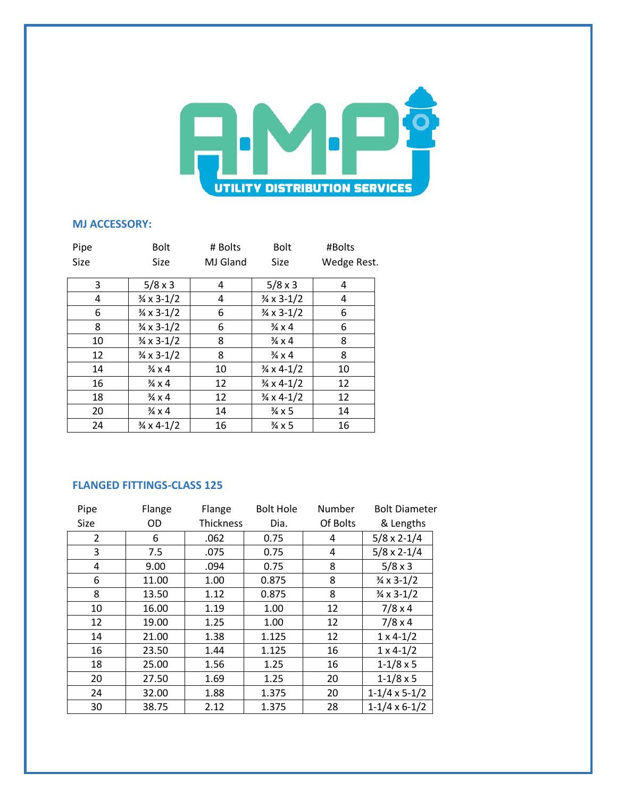

## **MJ ACCESSORY:**

| Pipe | <b>Bolt</b>                  | # Bolts  | <b>Bolt</b>                  | #Bolts      |
|------|------------------------------|----------|------------------------------|-------------|
| Size | <b>Size</b>                  | MJ Gland | Size                         | Wedge Rest. |
| 3    | $5/8 \times 3$               | 4        | $5/8 \times 3$               | 4           |
| 4    | $\frac{3}{4} \times 3 - 1/2$ | 4        | $\frac{3}{4} \times 3 - 1/2$ | 4           |
| 6    | $\frac{3}{4} \times 3 - 1/2$ | 6        | $\frac{3}{4} \times 3 - 1/2$ | 6           |
| 8    | $\frac{3}{4} \times 3 - 1/2$ | 6        | $\frac{3}{4} \times 4$       | 6           |
| 10   | $\frac{3}{4} \times 3 - 1/2$ | 8        | $\frac{3}{4} \times 4$       | 8           |
| 12   | $\frac{3}{4} \times 3 - 1/2$ | 8        | $\frac{3}{4} \times 4$       | 8           |
| 14   | $\frac{3}{4} \times 4$       | 10       | $\frac{3}{4} \times 4 - 1/2$ | 10          |
| 16   | $\frac{3}{4} \times 4$       | 12       | $\frac{3}{4} \times 4 - 1/2$ | 12          |
| 18   | $\frac{3}{4} \times 4$       | 12       | $\frac{3}{4} \times 4 - 1/2$ | 12          |
| 20   | $\frac{3}{4} \times 4$       | 14       | $\frac{3}{4} \times 5$       | 14          |
| 24   | $\frac{3}{4} \times 4 - 1/2$ | 16       | $\frac{3}{4}$ x 5            | 16          |

## **FLANGED FITTINGS-CLASS 125**

| Pipe | Flange | Flange           | <b>Bolt Hole</b> | Number   | <b>Bolt Diameter</b>         |
|------|--------|------------------|------------------|----------|------------------------------|
| Size | OD     | <b>Thickness</b> | Dia.             | Of Bolts | & Lengths                    |
| 2    | 6      | .062             | 0.75             | 4        | $5/8 \times 2 - 1/4$         |
| 3    | 7.5    | .075             | 0.75             | 4        | $5/8 \times 2 - 1/4$         |
| 4    | 9.00   | .094             | 0.75             | 8        | $5/8 \times 3$               |
| 6    | 11.00  | 1.00             | 0.875            | 8        | $\frac{3}{4} \times 3 - 1/2$ |
| 8    | 13.50  | 1.12             | 0.875            | 8        | $\frac{3}{4} \times 3 - 1/2$ |
| 10   | 16.00  | 1.19             | 1.00             | 12       | $7/8 \times 4$               |
| 12   | 19.00  | 1.25             | 1.00             | 12       | $7/8 \times 4$               |
| 14   | 21.00  | 1.38             | 1.125            | 12       | $1 \times 4 - 1/2$           |
| 16   | 23.50  | 1.44             | 1.125            | 16       | $1 \times 4 - 1/2$           |
| 18   | 25.00  | 1.56             | 1.25             | 16       | $1 - 1/8 \times 5$           |
| 20   | 27.50  | 1.69             | 1.25             | 20       | $1 - 1/8 \times 5$           |
| 24   | 32.00  | 1.88             | 1.375            | 20       | $1-1/4 \times 5-1/2$         |
| 30   | 38.75  | 2.12             | 1.375            | 28       | $1-1/4 \times 6-1/2$         |